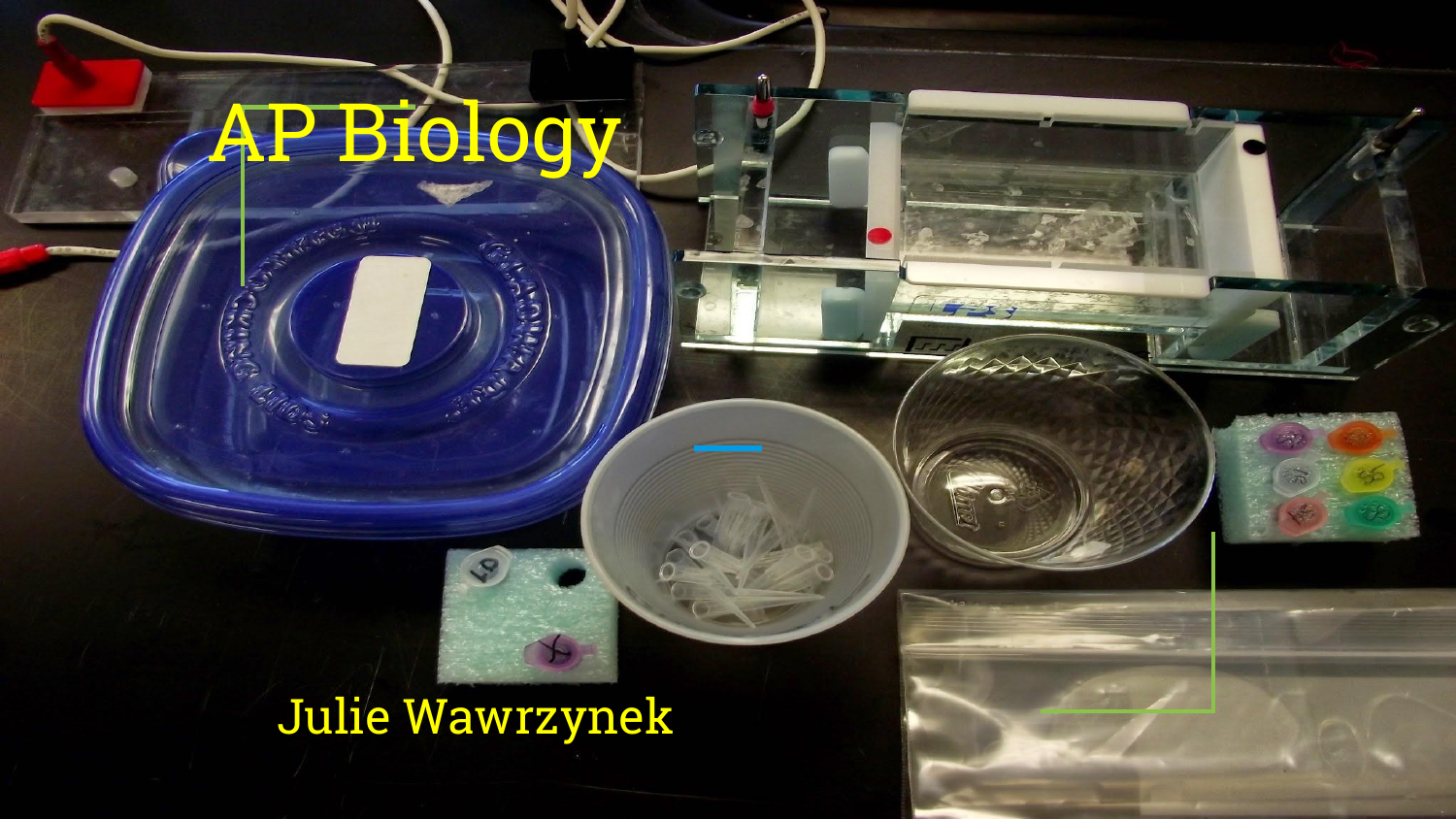# AP Biology

#### Julie Wawrzynek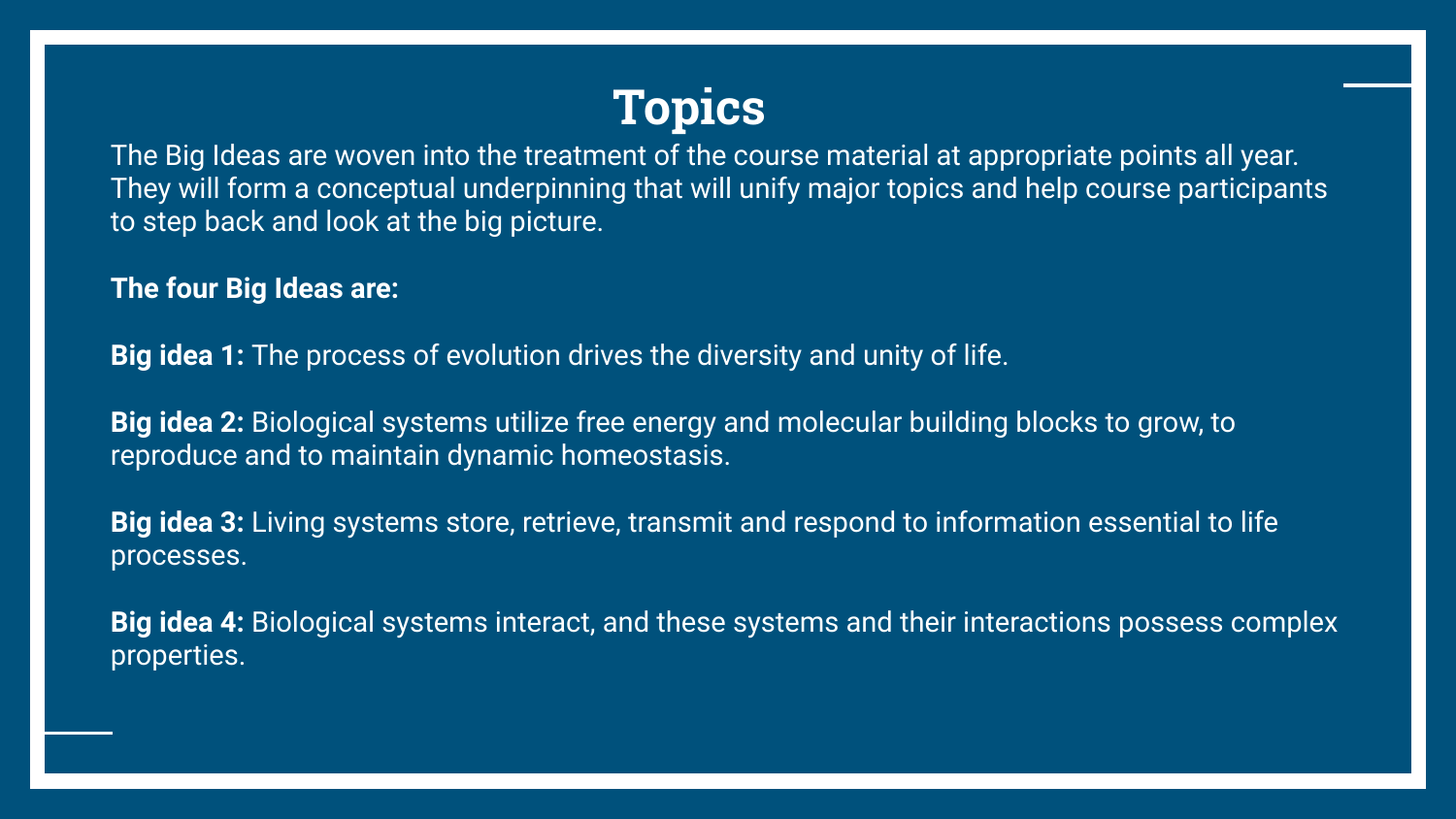

The Big Ideas are woven into the treatment of the course material at appropriate points all year. They will form a conceptual underpinning that will unify major topics and help course participants to step back and look at the big picture.

**The four Big Ideas are:** 

**Big idea 1:** The process of evolution drives the diversity and unity of life.

**Big idea 2:** Biological systems utilize free energy and molecular building blocks to grow, to reproduce and to maintain dynamic homeostasis.

**Big idea 3:** Living systems store, retrieve, transmit and respond to information essential to life processes.

**Big idea 4:** Biological systems interact, and these systems and their interactions possess complex properties.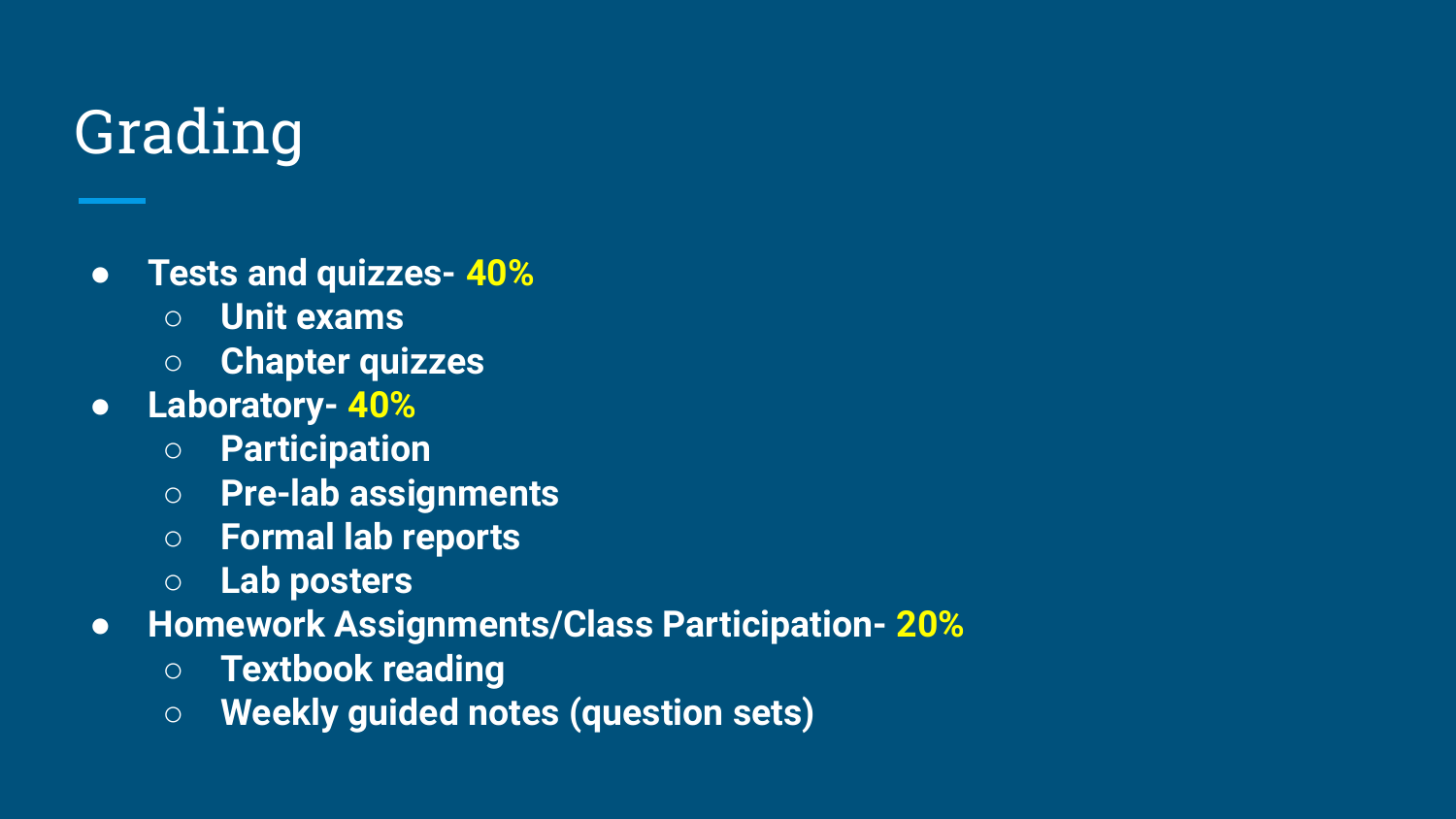### Grading

- **Tests and quizzes- 40%**
	- **○ Unit exams**
	- **○ Chapter quizzes**
- **Laboratory- 40%**
	- **○ Participation**
	- **○ Pre-lab assignments**
	- **○ Formal lab reports**
	- **○ Lab posters**
- **Homework Assignments/Class Participation- 20%**
	- **○ Textbook reading**
	- **○ Weekly guided notes (question sets)**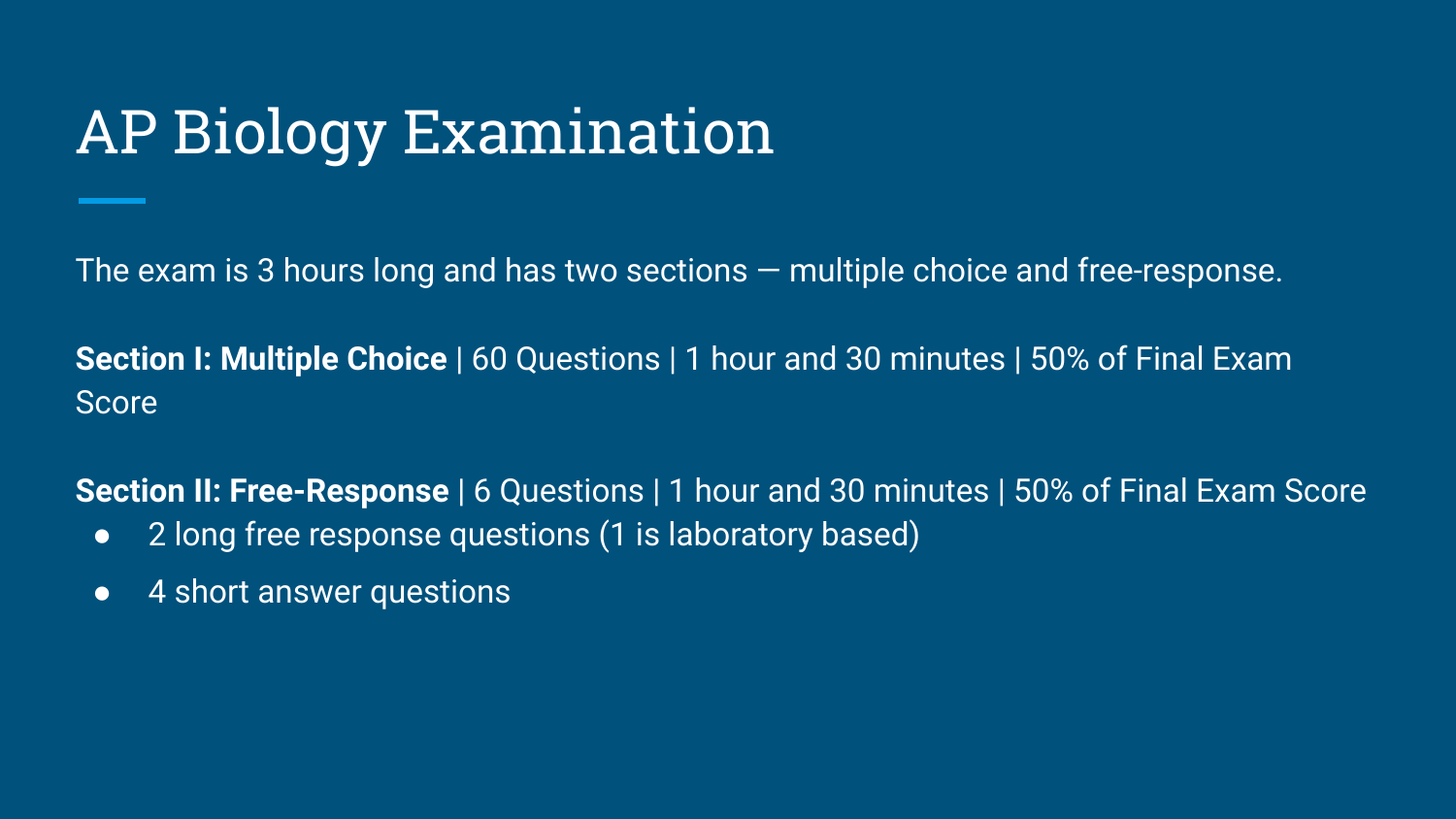#### AP Biology Examination

The exam is 3 hours long and has two sections — multiple choice and free-response.

**Section I: Multiple Choice** | 60 Questions | 1 hour and 30 minutes | 50% of Final Exam Score

**Section II: Free-Response** | 6 Questions | 1 hour and 30 minutes | 50% of Final Exam Score

- 2 long free response questions (1 is laboratory based)
- 4 short answer questions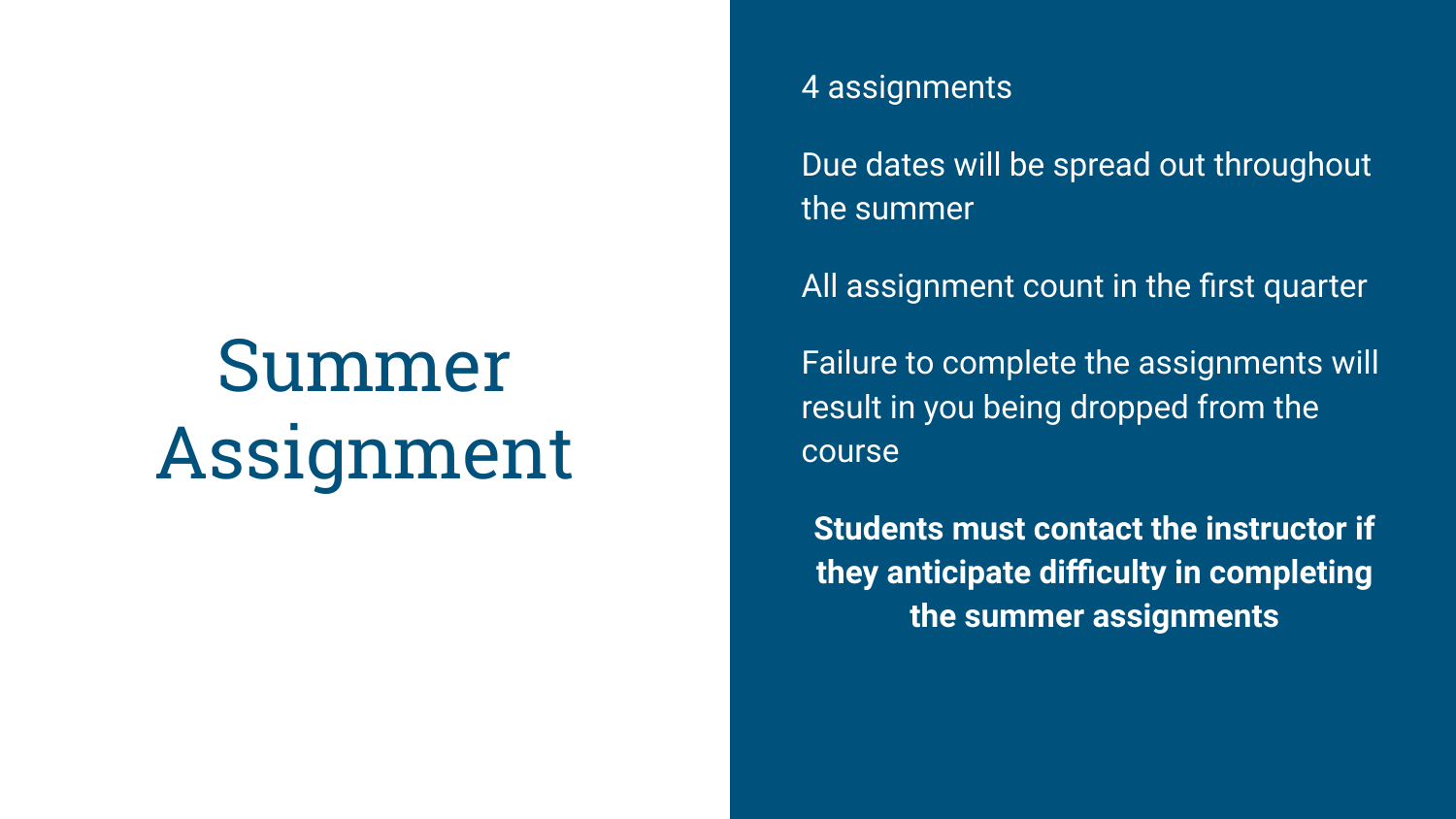## Summer Assignment

#### 4 assignments

Due dates will be spread out throughout the summer

All assignment count in the first quarter

Failure to complete the assignments will result in you being dropped from the course

**Students must contact the instructor if they anticipate difficulty in completing the summer assignments**